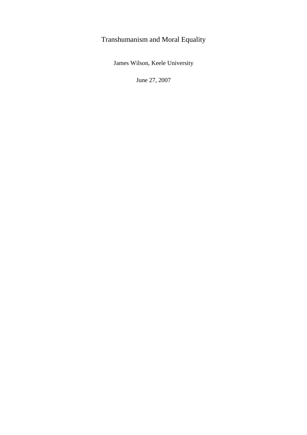Transhumanism and Moral Equality

James Wilson, Keele University

June 27, 2007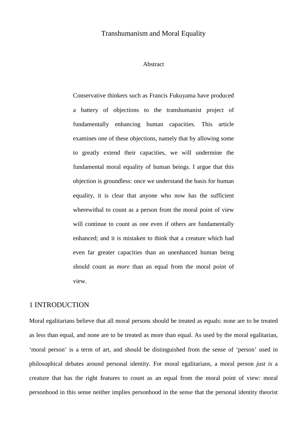# Transhumanism and Moral Equality

#### Abstract

Conservative thinkers such as Francis Fukuyama have produced a battery of objections to the transhumanist project of fundamentally enhancing human capacities. This article examines one of these objections, namely that by allowing some to greatly extend their capacities, we will undermine the fundamental moral equality of human beings. I argue that this objection is groundless: once we understand the basis for human equality, it is clear that anyone who now has the sufficient wherewithal to count as a person from the moral point of view will continue to count as one even if others are fundamentally enhanced; and it is mistaken to think that a creature which had even far greater capacities than an unenhanced human being should count as *more* than an equal from the moral point of view.

### 1 INTRODUCTION

Moral egalitarians believe that all moral persons should be treated as equals: none are to be treated as less than equal, and none are to be treated as more than equal. As used by the moral egalitarian, 'moral person' is a term of art, and should be distinguished from the sense of 'person' used in philosophical debates around personal identity. For moral egalitarians, a moral person *just is* a creature that has the right features to count as an equal from the moral point of view: moral personhood in this sense neither implies personhood in the sense that the personal identity theorist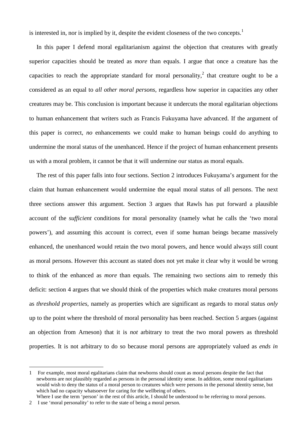is interested in, nor is implied by it, despite the evident closeness of the two concepts.<sup>1</sup>

In this paper I defend moral egalitarianism against the objection that creatures with greatly superior capacities should be treated as *more* than equals. I argue that once a creature has the capacities to reach the appropriate standard for moral personality,<sup>2</sup> that creature ought to be a considered as an equal to *all other moral persons,* regardless how superior in capacities any other creatures may be. This conclusion is important because it undercuts the moral egalitarian objections to human enhancement that writers such as Francis Fukuyama have advanced. If the argument of this paper is correct, *no* enhancements we could make to human beings could do anything to undermine the moral status of the unenhanced. Hence if the project of human enhancement presents us with a moral problem, it cannot be that it will undermine our status as moral equals.

The rest of this paper falls into four sections. Section 2 introduces Fukuyama's argument for the claim that human enhancement would undermine the equal moral status of all persons. The next three sections answer this argument. Section 3 argues that Rawls has put forward a plausible account of the *sufficient* conditions for moral personality (namely what he calls the 'two moral powers'), and assuming this account is correct, even if some human beings became massively enhanced, the unenhanced would retain the two moral powers, and hence would always still count as moral persons. However this account as stated does not yet make it clear why it would be wrong to think of the enhanced as *more* than equals. The remaining two sections aim to remedy this deficit: section 4 argues that we should think of the properties which make creatures moral persons as *threshold properties*, namely as properties which are significant as regards to moral status *only* up to the point where the threshold of moral personality has been reached. Section 5 argues (against an objection from Arneson) that it is *not* arbitrary to treat the two moral powers as threshold properties. It is not arbitrary to do so because moral persons are appropriately valued as *ends in*

<sup>1</sup> For example, most moral egalitarians claim that newborns should count as moral persons despite the fact that newborns are not plausibly regarded as persons in the personal identity sense. In addition, some moral egalitarians would wish to deny the status of a moral person to creatures which were persons in the personal identity sense, but which had no capacity whatsoever for caring for the wellbeing of others.

Where I use the term 'person' in the rest of this article, I should be understood to be referring to moral persons.

<sup>2</sup> I use 'moral personality' to refer to the state of being a moral person.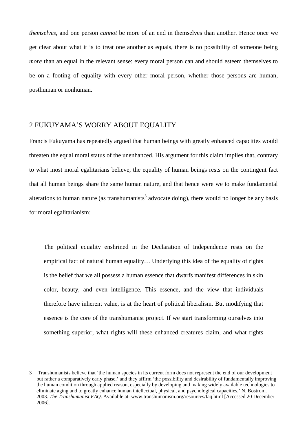*themselves,* and one person *cannot* be more of an end in themselves than another. Hence once we get clear about what it is to treat one another as equals, there is no possibility of someone being *more* than an equal in the relevant sense: every moral person can and should esteem themselves to be on a footing of equality with every other moral person, whether those persons are human, posthuman or nonhuman.

### 2 FUKUYAMA'S WORRY ABOUT EQUALITY

Francis Fukuyama has repeatedly argued that human beings with greatly enhanced capacities would threaten the equal moral status of the unenhanced. His argument for this claim implies that, contrary to what most moral egalitarians believe, the equality of human beings rests on the contingent fact that all human beings share the same human nature, and that hence were we to make fundamental alterations to human nature (as transhumanists<sup>3</sup> advocate doing), there would no longer be any basis for moral egalitarianism:

The political equality enshrined in the Declaration of Independence rests on the empirical fact of natural human equality… Underlying this idea of the equality of rights is the belief that we all possess a human essence that dwarfs manifest differences in skin color, beauty, and even intelligence. This essence, and the view that individuals therefore have inherent value, is at the heart of political liberalism. But modifying that essence is the core of the transhumanist project. If we start transforming ourselves into something superior, what rights will these enhanced creatures claim, and what rights

<sup>3</sup> Transhumanists believe that 'the human species in its current form does not represent the end of our development but rather a comparatively early phase,' and they affirm 'the possibility and desirability of fundamentally improving the human condition through applied reason, especially by developing and making widely available technologies to eliminate aging and to greatly enhance human intellectual, physical, and psychological capacities.' N. Bostrom. 2003. *The Transhumanist FAQ*. Available at: www.transhumanism.org/resources/faq.html [Accessed 20 December 2006].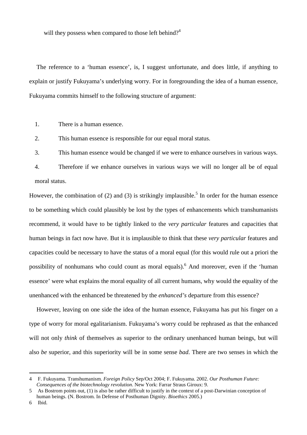will they possess when compared to those left behind?<sup>4</sup>

The reference to a 'human essence', is, I suggest unfortunate, and does little, if anything to explain or justify Fukuyama's underlying worry. For in foregrounding the idea of a human essence, Fukuyama commits himself to the following structure of argument:

1. There is a human essence.

2. This human essence is responsible for our equal moral status.

3. This human essence would be changed if we were to enhance ourselves in various ways.

4. Therefore if we enhance ourselves in various ways we will no longer all be of equal moral status.

However, the combination of (2) and (3) is strikingly implausible.<sup>5</sup> In order for the human essence to be something which could plausibly be lost by the types of enhancements which transhumanists recommend, it would have to be tightly linked to the *very particular* features and capacities that human beings in fact now have. But it is implausible to think that these *very particular* features and capacities could be necessary to have the status of a moral equal (for this would rule out a priori the possibility of nonhumans who could count as moral equals).<sup>6</sup> And moreover, even if the 'human essence' were what explains the moral equality of all current humans, why would the equality of the unenhanced with the enhanced be threatened by the *enhanced's* departure from this essence?

However, leaving on one side the idea of the human essence, Fukuyama has put his finger on a type of worry for moral egalitarianism. Fukuyama's worry could be rephrased as that the enhanced will not only *think* of themselves as superior to the ordinary unenhanced human beings, but will also *be* superior, and this superiority will be in some sense *bad*. There are two senses in which the

<sup>4</sup> F. Fukuyama. Transhumanism. *Foreign Policy* Sep/Oct 2004; F. Fukuyama. 2002. *Our Posthuman Future: Consequences of the biotechnology revolution*. New York: Farrar Straus Giroux: 9.

<sup>5</sup> As Bostrom points out, (1) is also be rather difficult to justify in the context of a post-Darwinian conception of human beings. (N. Bostrom. In Defense of Posthuman Dignity. *Bioethics* 2005.)

<sup>6</sup> Ibid.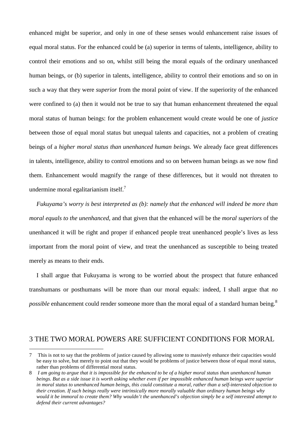enhanced might be superior, and only in one of these senses would enhancement raise issues of equal moral status. For the enhanced could be (a) superior in terms of talents, intelligence, ability to control their emotions and so on, whilst still being the moral equals of the ordinary unenhanced human beings, or (b) superior in talents, intelligence, ability to control their emotions and so on in such a way that they were *superior* from the moral point of view. If the superiority of the enhanced were confined to (a) then it would not be true to say that human enhancement threatened the equal moral status of human beings: for the problem enhancement would create would be one of *justice* between those of equal moral status but unequal talents and capacities, not a problem of creating beings of a *higher moral status than unenhanced human beings.* We already face great differences in talents, intelligence, ability to control emotions and so on between human beings as we now find them. Enhancement would magnify the range of these differences, but it would not threaten to undermine moral egalitarianism itself.<sup>7</sup>

*Fukuyama's worry is best interpreted as (b): namely that the enhanced will indeed be more than moral equals to the unenhanced*, and that given that the enhanced will be the *moral superiors* of the unenhanced it will be right and proper if enhanced people treat unenhanced people's lives as less important from the moral point of view, and treat the unenhanced as susceptible to being treated merely as means to their ends.

I shall argue that Fukuyama is wrong to be worried about the prospect that future enhanced transhumans or posthumans will be more than our moral equals: indeed, I shall argue that *no possible* enhancement could render someone more than the moral equal of a standard human being.<sup>8</sup>

# 3 THE TWO MORAL POWERS ARE SUFFICIENT CONDITIONS FOR MORAL

<sup>7</sup> This is not to say that the problems of justice caused by allowing some to massively enhance their capacities would be easy to solve, but merely to point out that they would be problems of justice between those of equal moral status, rather than problems of differential moral status.

<sup>8</sup> *I am going to argue that it is impossible for the enhanced to be of a higher moral status than unenhanced human beings. But as a side issue it is worth asking whether even if per impossible enhanced human beings were superior in moral status to unenhanced human beings, this could constitute a moral, rather than a self-interested objection to their creation. If such beings really were intrinsically more morally valuable than ordinary human beings why would it be immoral to create them? Why wouldn't the unenhanced's objection simply be a self interested attempt to defend their current advantages?*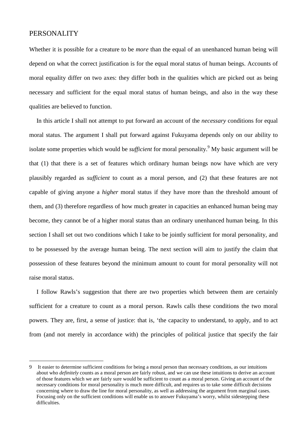### PERSONALITY

Whether it is possible for a creature to be *more* than the equal of an unenhanced human being will depend on what the correct justification is for the equal moral status of human beings. Accounts of moral equality differ on two axes: they differ both in the qualities which are picked out as being necessary and sufficient for the equal moral status of human beings, and also in the way these qualities are believed to function.

In this article I shall not attempt to put forward an account of the *necessary* conditions for equal moral status. The argument I shall put forward against Fukuyama depends only on our ability to isolate some properties which would be *sufficient* for moral personality.<sup>9</sup> My basic argument will be that (1) that there is a set of features which ordinary human beings now have which are very plausibly regarded as *sufficient* to count as a moral person, and (2) that these features are not capable of giving anyone a *higher* moral status if they have more than the threshold amount of them, and (3) therefore regardless of how much greater in capacities an enhanced human being may become, they cannot be of a higher moral status than an ordinary unenhanced human being. In this section I shall set out two conditions which I take to be jointly sufficient for moral personality, and to be possessed by the average human being. The next section will aim to justify the claim that possession of these features beyond the minimum amount to count for moral personality will not raise moral status.

I follow Rawls's suggestion that there are two properties which between them are certainly sufficient for a creature to count as a moral person. Rawls calls these conditions the two moral powers. They are, first, a sense of justice: that is, 'the capacity to understand, to apply, and to act from (and not merely in accordance with) the principles of political justice that specify the fair

<sup>9</sup> It easier to determine sufficient conditions for being a moral person than necessary conditions, as our intuitions about who *definitely* counts as a moral person are fairly robust, and we can use these intuitions to derive an account of those features which we are fairly sure would be sufficient to count as a moral person. Giving an account of the necessary conditions for moral personality is much more difficult, and requires us to take some difficult decisions concerning where to draw the line for moral personality, as well as addressing the argument from marginal cases. Focusing only on the sufficient conditions will enable us to answer Fukuyama's worry, whilst sidestepping these difficulties.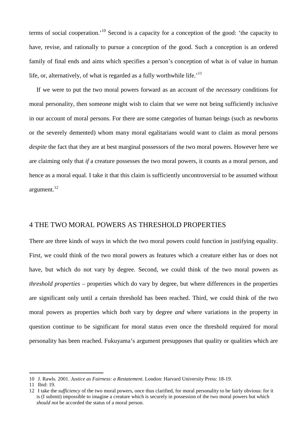terms of social cooperation.'<sup>10</sup> Second is a capacity for a conception of the good: 'the capacity to have, revise, and rationally to pursue a conception of the good. Such a conception is an ordered family of final ends and aims which specifies a person's conception of what is of value in human life, or, alternatively, of what is regarded as a fully worthwhile life.<sup>'11</sup>

If we were to put the two moral powers forward as an account of the *necessary* conditions for moral personality, then someone might wish to claim that we were not being sufficiently inclusive in our account of moral persons. For there are some categories of human beings (such as newborns or the severely demented) whom many moral egalitarians would want to claim as moral persons *despite* the fact that they are at best marginal possessors of the two moral powers. However here we are claiming only that *if* a creature possesses the two moral powers, it counts as a moral person, and hence as a moral equal. I take it that this claim is sufficiently uncontroversial to be assumed without argument.<sup>12</sup>

### 4 THE TWO MORAL POWERS AS THRESHOLD PROPERTIES

There are three kinds of ways in which the two moral powers could function in justifying equality. First, we could think of the two moral powers as features which a creature either has or does not have, but which do not vary by degree. Second, we could think of the two moral powers as *threshold properties* – properties which do vary by degree, but where differences in the properties are significant only until a certain threshold has been reached. Third, we could think of the two moral powers as properties which *both* vary by degree *and* where variations in the property in question continue to be significant for moral status even once the threshold required for moral personality has been reached. Fukuyama's argument presupposes that quality or qualities which are

<sup>10</sup> J. Rawls*.* 2001. *Justice as Fairness: a Restatement*. London: Harvard University Press: 18-19.

<sup>11</sup> Ibid: 19.

<sup>12</sup> I take the *sufficiency* of the two moral powers, once thus clarified, for moral personality to be fairly obvious: for it is (I submit) impossible to imagine a creature which is securely in possession of the two moral powers but which *should not* be accorded the status of a moral person.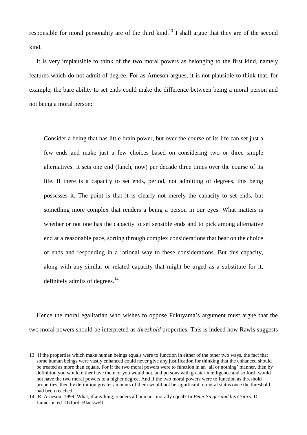responsible for moral personality are of the third kind.<sup>13</sup> I shall argue that they are of the second kind.

It is very implausible to think of the two moral powers as belonging to the first kind, namely features which do not admit of degree. For as Arneson argues, it is not plausible to think that, for example, the bare ability to set ends could make the difference between being a moral person and not being a moral person:

Consider a being that has little brain power, but over the course of its life can set just a few ends and make just a few choices based on considering two or three simple alternatives. It sets one end (lunch, now) per decade three times over the course of its life. If there is a capacity to set ends, period, not admitting of degrees, this being possesses it. The point is that it is clearly not merely the capacity to set ends, but something more complex that renders a being a person in our eyes. What matters is whether or not one has the capacity to set sensible ends and to pick among alternative end at a reasonable pace, sorting through complex considerations that bear on the choice of ends and responding in a rational way to these considerations. But this capacity, along with any similar or related capacity that might be urged as a substitute for it, definitely admits of degrees.<sup>14</sup>

Hence the moral egalitarian who wishes to oppose Fukuyama's argument must argue that the two moral powers should be interpreted as *threshold* properties. This is indeed how Rawls suggests

<sup>13</sup> If the properties which make human beings equals were to function in either of the other two ways, the fact that some human beings were vastly enhanced could never give any justification for thinking that the enhanced should be treated as more than equals. For if the two moral powers were to function in an 'all or nothing' manner, then by definition you would either have them or you would not, and persons with greater intelligence and so forth would not have the two moral powers to a higher degree. And if the two moral powers were to function as threshold properties, then by definition greater amounts of them would not be significant to moral status once the threshold had been reached.

<sup>14</sup> R. Arneson. 1999. What, if anything, renders all humans morally equal? In *Peter Singer and his Critics.* D. Jamieson ed. Oxford: Blackwell.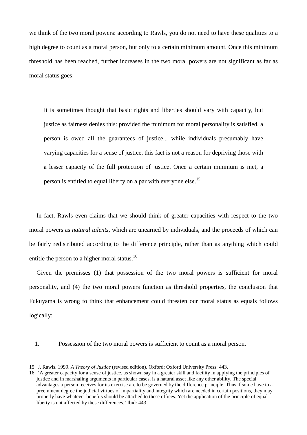we think of the two moral powers: according to Rawls, you do not need to have these qualities to a high degree to count as a moral person, but only to a certain minimum amount. Once this minimum threshold has been reached, further increases in the two moral powers are not significant as far as moral status goes:

It is sometimes thought that basic rights and liberties should vary with capacity, but justice as fairness denies this: provided the minimum for moral personality is satisfied, a person is owed all the guarantees of justice... while individuals presumably have varying capacities for a sense of justice, this fact is not a reason for depriving those with a lesser capacity of the full protection of justice. Once a certain minimum is met, a person is entitled to equal liberty on a par with everyone else.<sup>15</sup>

In fact, Rawls even claims that we should think of greater capacities with respect to the two moral powers as *natural talents,* which are unearned by individuals, and the proceeds of which can be fairly redistributed according to the difference principle, rather than as anything which could entitle the person to a higher moral status.<sup>16</sup>

Given the premisses (1) that possession of the two moral powers is sufficient for moral personality, and (4) the two moral powers function as threshold properties, the conclusion that Fukuyama is wrong to think that enhancement could threaten our moral status as equals follows logically:

1. Possession of the two moral powers is sufficient to count as a moral person.

<sup>15</sup> J. Rawls. 1999. *A Theory of Justice* (revised edition). Oxford: Oxford University Press: 443.

<sup>16</sup> 'A greater capacity for a sense of justice, as shown say in a greater skill and facility in applying the principles of justice and in marshaling arguments in particular cases, is a natural asset like any other ability. The special advantages a person receives for its exercise are to be governed by the difference principle. Thus if some have to a preeminent degree the judicial virtues of impartiality and integrity which are needed in certain positions, they may properly have whatever benefits should be attached to these offices. Yet the application of the principle of equal liberty is not affected by these differences.' Ibid: 443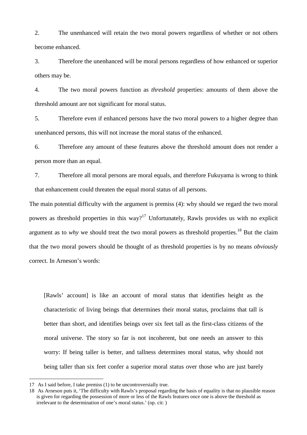2. The unenhanced will retain the two moral powers regardless of whether or not others become enhanced.

3. Therefore the unenhanced will be moral persons regardless of how enhanced or superior others may be.

4. The two moral powers function as *threshold* properties: amounts of them above the threshold amount are not significant for moral status.

5. Therefore even if enhanced persons have the two moral powers to a higher degree than unenhanced persons, this will not increase the moral status of the enhanced.

6. Therefore any amount of these features above the threshold amount does not render a person more than an equal.

7. Therefore all moral persons are moral equals, and therefore Fukuyama is wrong to think that enhancement could threaten the equal moral status of all persons.

The main potential difficulty with the argument is premiss (4): why should we regard the two moral powers as threshold properties in this way?<sup>17</sup> Unfortunately, Rawls provides us with no explicit argument as to *why* we should treat the two moral powers as threshold properties.<sup>18</sup> But the claim that the two moral powers should be thought of as threshold properties is by no means *obviously* correct. In Arneson's words:

[Rawls' account] is like an account of moral status that identifies height as the characteristic of living beings that determines their moral status, proclaims that tall is better than short, and identifies beings over six feet tall as the first-class citizens of the moral universe. The story so far is not incoherent, but one needs an answer to this worry: If being taller is better, and tallness determines moral status, why should not being taller than six feet confer a superior moral status over those who are just barely

<sup>17</sup> As I said before, I take premiss (1) to be uncontroversially true.

<sup>18</sup> As Arneson puts it, 'The difficulty with Rawls's proposal regarding the basis of equality is that no plausible reason is given for regarding the possession of more or less of the Rawls features once one is above the threshold as irrelevant to the determination of one's moral status.' (op. cit: )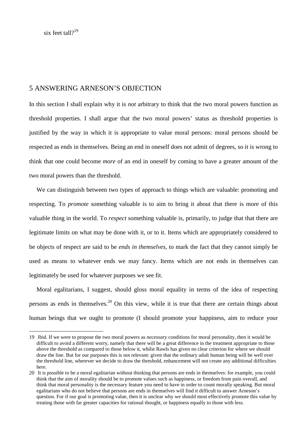six feet tall $2^{19}$ 

### 5 ANSWERING ARNESON'S OBJECTION

In this section I shall explain why it is *not* arbitrary to think that the two moral powers function as threshold properties. I shall argue that the two moral powers' status as threshold properties is justified by the way in which it is appropriate to value moral persons: moral persons should be respected as ends in themselves. Being an end in oneself does not admit of degrees, so it is wrong to think that one could become *more* of an end in oneself by coming to have a greater amount of the two moral powers than the threshold.

We can distinguish between two types of approach to things which are valuable: promoting and respecting. To *promote* something valuable is to aim to bring it about that there is more of this valuable thing in the world. To *respect* something valuable is, primarily, to judge that that there are legitimate limits on what may be done with it, or to it. Items which are appropriately considered to be objects of respect are said to be *ends in themselves*, to mark the fact that they cannot simply be used as means to whatever ends we may fancy. Items which are not ends in themselves can legitimately be used for whatever purposes we see fit.

Moral egalitarians, I suggest, should gloss moral equality in terms of the idea of respecting persons as ends in themselves.<sup>20</sup> On this view, while it is true that there are certain things about human beings that we ought to promote (I should promote your happiness, aim to reduce your

<sup>19</sup> Ibid. If we were to propose the two moral powers as *necessary* conditions for moral personality, then it would be difficult to avoid a different worry, namely that there will be a great difference in the treatment appropriate to those above the threshold as compared to those below it, whilst Rawls has given no clear criterion for where we should draw the line. But for our purposes this is not relevant: given that the ordinary adult human being will be well over the threshold line, wherever we decide to draw the threshold, enhancement will not create any additional difficulties here.

<sup>20</sup> It is possible to be a moral egalitarian without thinking that persons are ends in themselves: for example, you could think that the aim of morality should be to promote values such as happiness, or freedom from pain overall, and think that moral personality is the necessary feature you need to have in order to count morally speaking. But moral egalitarians who do not believe that persons are ends in themselves will find it difficult to answer Arneson's question. For if our goal is promoting value, then it is unclear why we should most effectively promote this value by treating those with far greater capacities for rational thought, or happiness equally to those with less.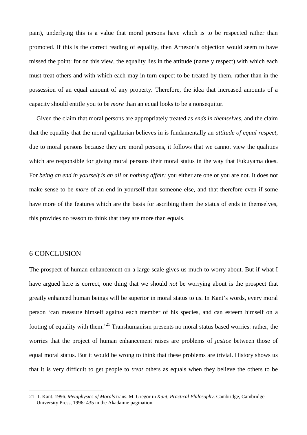pain), underlying this is a value that moral persons have which is to be respected rather than promoted. If this is the correct reading of equality, then Arneson's objection would seem to have missed the point: for on this view, the equality lies in the attitude (namely respect) with which each must treat others and with which each may in turn expect to be treated by them, rather than in the possession of an equal amount of any property. Therefore, the idea that increased amounts of a capacity should entitle you to be *more* than an equal looks to be a nonsequitur.

Given the claim that moral persons are appropriately treated as *ends in themselves*, and the claim that the equality that the moral egalitarian believes in is fundamentally an *attitude of equal respect,* due to moral persons because they are moral persons, it follows that we cannot view the qualities which are responsible for giving moral persons their moral status in the way that Fukuyama does. For *being an end in yourself is an all or nothing affair:* you either are one or you are not. It does not make sense to be *more* of an end in yourself than someone else, and that therefore even if some have more of the features which are the basis for ascribing them the status of ends in themselves, this provides no reason to think that they are more than equals.

# 6 CONCLUSION

The prospect of human enhancement on a large scale gives us much to worry about. But if what I have argued here is correct, one thing that we should *not* be worrying about is the prospect that greatly enhanced human beings will be superior in moral status to us. In Kant's words, every moral person 'can measure himself against each member of his species, and can esteem himself on a footing of equality with them.'<sup>21</sup> Transhumanism presents no moral status based worries: rather, the worries that the project of human enhancement raises are problems of *justice* between those of equal moral status. But it would be wrong to think that these problems are trivial. History shows us that it is very difficult to get people to *treat* others as equals when they believe the others to be

<sup>21</sup> I. Kant. 1996. *Metaphysics of Morals* trans. M. Gregor in *Kant, Practical Philosophy*. Cambridge, Cambridge University Press, 1996: 435 in the Akadamie pagination.